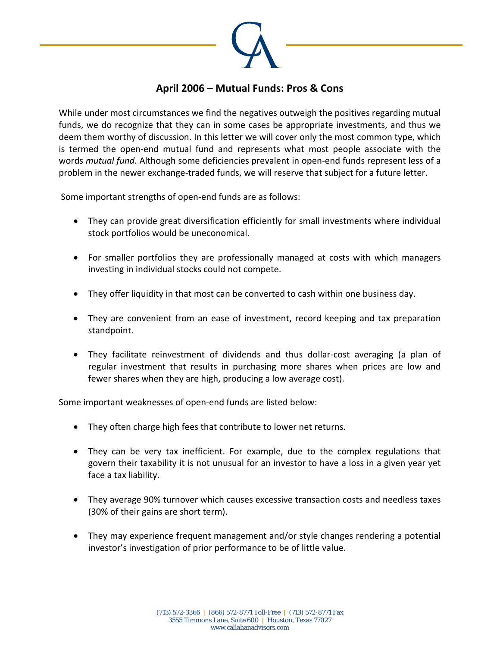

## **April 2006 – Mutual Funds: Pros & Cons**

While under most circumstances we find the negatives outweigh the positives regarding mutual funds, we do recognize that they can in some cases be appropriate investments, and thus we deem them worthy of discussion. In this letter we will cover only the most common type, which is termed the open‐end mutual fund and represents what most people associate with the words *mutual fund*. Although some deficiencies prevalent in open‐end funds represent less of a problem in the newer exchange‐traded funds, we will reserve that subject for a future letter.

Some important strengths of open‐end funds are as follows:

- They can provide great diversification efficiently for small investments where individual stock portfolios would be uneconomical.
- For smaller portfolios they are professionally managed at costs with which managers investing in individual stocks could not compete.
- They offer liquidity in that most can be converted to cash within one business day.
- They are convenient from an ease of investment, record keeping and tax preparation standpoint.
- They facilitate reinvestment of dividends and thus dollar‐cost averaging (a plan of regular investment that results in purchasing more shares when prices are low and fewer shares when they are high, producing a low average cost).

Some important weaknesses of open‐end funds are listed below:

- They often charge high fees that contribute to lower net returns.
- They can be very tax inefficient. For example, due to the complex regulations that govern their taxability it is not unusual for an investor to have a loss in a given year yet face a tax liability.
- They average 90% turnover which causes excessive transaction costs and needless taxes (30% of their gains are short term).
- They may experience frequent management and/or style changes rendering a potential investor's investigation of prior performance to be of little value.